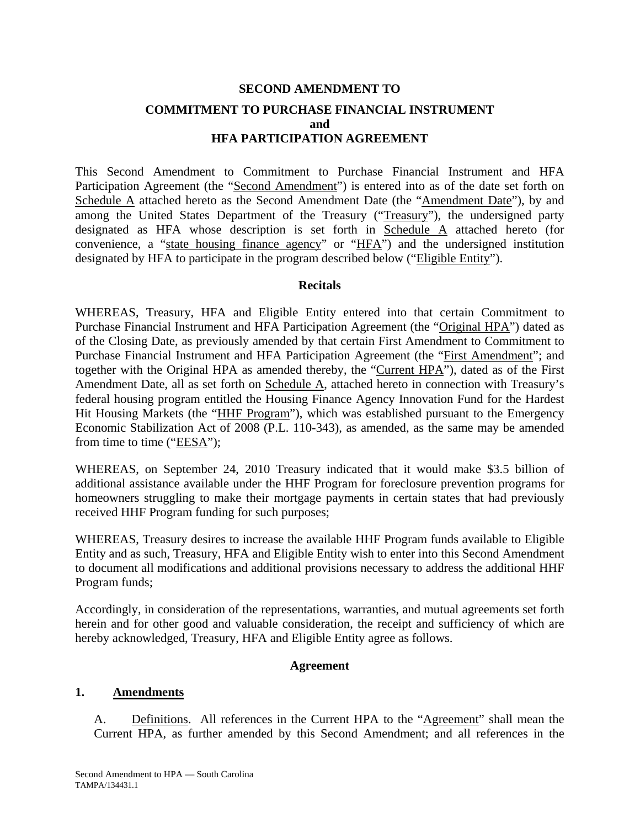# **SECOND AMENDMENT TO COMMITMENT TO PURCHASE FINANCIAL INSTRUMENT and HFA PARTICIPATION AGREEMENT**

This Second Amendment to Commitment to Purchase Financial Instrument and HFA Participation Agreement (the "Second Amendment") is entered into as of the date set forth on Schedule A attached hereto as the Second Amendment Date (the "Amendment Date"), by and among the United States Department of the Treasury ("Treasury"), the undersigned party designated as HFA whose description is set forth in Schedule A attached hereto (for convenience, a "state housing finance agency" or "HFA") and the undersigned institution designated by HFA to participate in the program described below ("Eligible Entity").

#### **Recitals**

WHEREAS, Treasury, HFA and Eligible Entity entered into that certain Commitment to Purchase Financial Instrument and HFA Participation Agreement (the "Original HPA") dated as of the Closing Date, as previously amended by that certain First Amendment to Commitment to Purchase Financial Instrument and HFA Participation Agreement (the "First Amendment"; and together with the Original HPA as amended thereby, the "Current HPA"), dated as of the First Amendment Date, all as set forth on Schedule A, attached hereto in connection with Treasury's federal housing program entitled the Housing Finance Agency Innovation Fund for the Hardest Hit Housing Markets (the "HHF Program"), which was established pursuant to the Emergency Economic Stabilization Act of 2008 (P.L. 110-343), as amended, as the same may be amended from time to time ("EESA");

WHEREAS, on September 24, 2010 Treasury indicated that it would make \$3.5 billion of additional assistance available under the HHF Program for foreclosure prevention programs for homeowners struggling to make their mortgage payments in certain states that had previously received HHF Program funding for such purposes;

WHEREAS, Treasury desires to increase the available HHF Program funds available to Eligible Entity and as such, Treasury, HFA and Eligible Entity wish to enter into this Second Amendment to document all modifications and additional provisions necessary to address the additional HHF Program funds;

Accordingly, in consideration of the representations, warranties, and mutual agreements set forth herein and for other good and valuable consideration, the receipt and sufficiency of which are hereby acknowledged, Treasury, HFA and Eligible Entity agree as follows.

#### **Agreement**

#### **1. Amendments**

A. Definitions. All references in the Current HPA to the "Agreement" shall mean the Current HPA, as further amended by this Second Amendment; and all references in the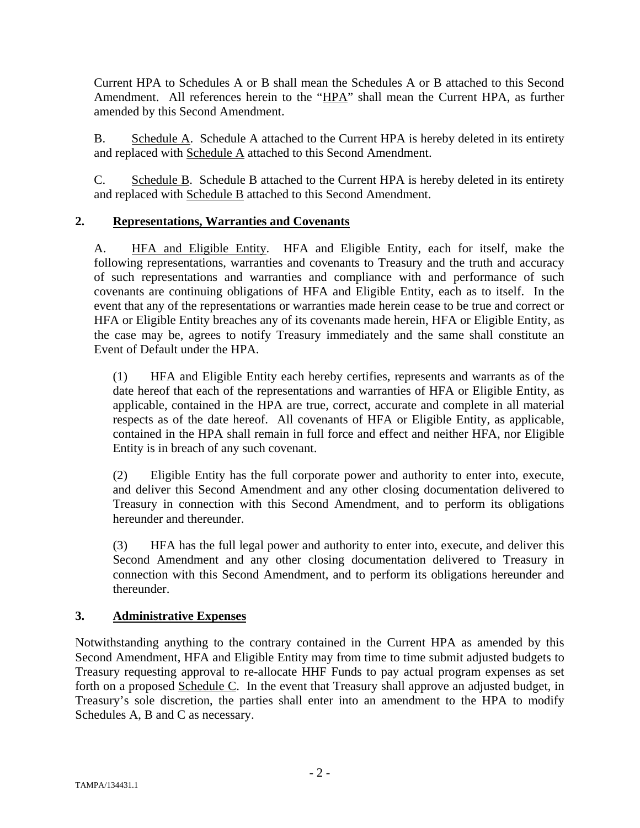Current HPA to Schedules A or B shall mean the Schedules A or B attached to this Second Amendment. All references herein to the "HPA" shall mean the Current HPA, as further amended by this Second Amendment.

B. Schedule A. Schedule A attached to the Current HPA is hereby deleted in its entirety and replaced with Schedule A attached to this Second Amendment.

C. Schedule B. Schedule B attached to the Current HPA is hereby deleted in its entirety and replaced with Schedule B attached to this Second Amendment.

## **2. Representations, Warranties and Covenants**

A. HFA and Eligible Entity. HFA and Eligible Entity, each for itself, make the following representations, warranties and covenants to Treasury and the truth and accuracy of such representations and warranties and compliance with and performance of such covenants are continuing obligations of HFA and Eligible Entity, each as to itself. In the event that any of the representations or warranties made herein cease to be true and correct or HFA or Eligible Entity breaches any of its covenants made herein, HFA or Eligible Entity, as the case may be, agrees to notify Treasury immediately and the same shall constitute an Event of Default under the HPA.

(1) HFA and Eligible Entity each hereby certifies, represents and warrants as of the date hereof that each of the representations and warranties of HFA or Eligible Entity, as applicable, contained in the HPA are true, correct, accurate and complete in all material respects as of the date hereof. All covenants of HFA or Eligible Entity, as applicable, contained in the HPA shall remain in full force and effect and neither HFA, nor Eligible Entity is in breach of any such covenant.

(2) Eligible Entity has the full corporate power and authority to enter into, execute, and deliver this Second Amendment and any other closing documentation delivered to Treasury in connection with this Second Amendment, and to perform its obligations hereunder and thereunder.

(3) HFA has the full legal power and authority to enter into, execute, and deliver this Second Amendment and any other closing documentation delivered to Treasury in connection with this Second Amendment, and to perform its obligations hereunder and thereunder.

## **3. Administrative Expenses**

Notwithstanding anything to the contrary contained in the Current HPA as amended by this Second Amendment, HFA and Eligible Entity may from time to time submit adjusted budgets to Treasury requesting approval to re-allocate HHF Funds to pay actual program expenses as set forth on a proposed Schedule C. In the event that Treasury shall approve an adjusted budget, in Treasury's sole discretion, the parties shall enter into an amendment to the HPA to modify Schedules A, B and C as necessary.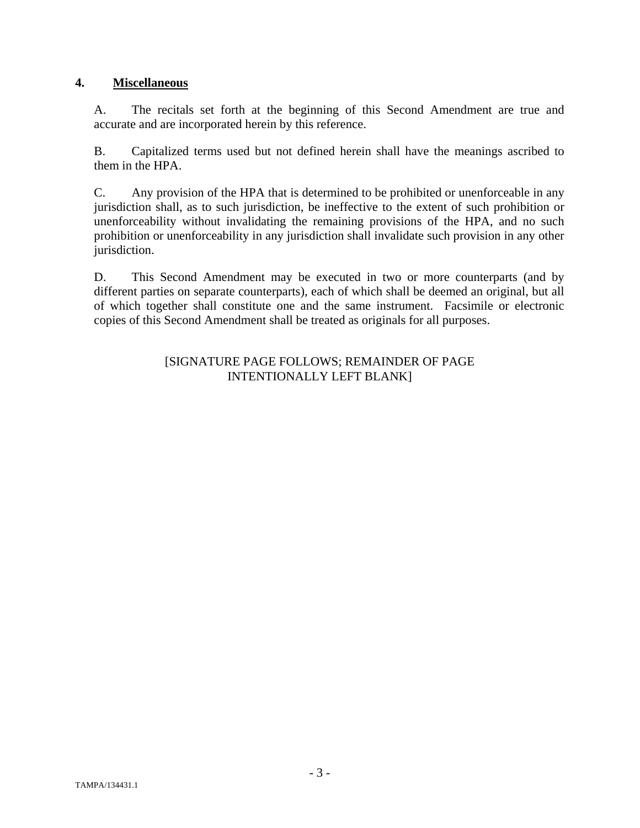## **4. Miscellaneous**

A. The recitals set forth at the beginning of this Second Amendment are true and accurate and are incorporated herein by this reference.

B. Capitalized terms used but not defined herein shall have the meanings ascribed to them in the HPA.

C. Any provision of the HPA that is determined to be prohibited or unenforceable in any jurisdiction shall, as to such jurisdiction, be ineffective to the extent of such prohibition or unenforceability without invalidating the remaining provisions of the HPA, and no such prohibition or unenforceability in any jurisdiction shall invalidate such provision in any other jurisdiction.

D. This Second Amendment may be executed in two or more counterparts (and by different parties on separate counterparts), each of which shall be deemed an original, but all of which together shall constitute one and the same instrument. Facsimile or electronic copies of this Second Amendment shall be treated as originals for all purposes.

#### [SIGNATURE PAGE FOLLOWS; REMAINDER OF PAGE INTENTIONALLY LEFT BLANK]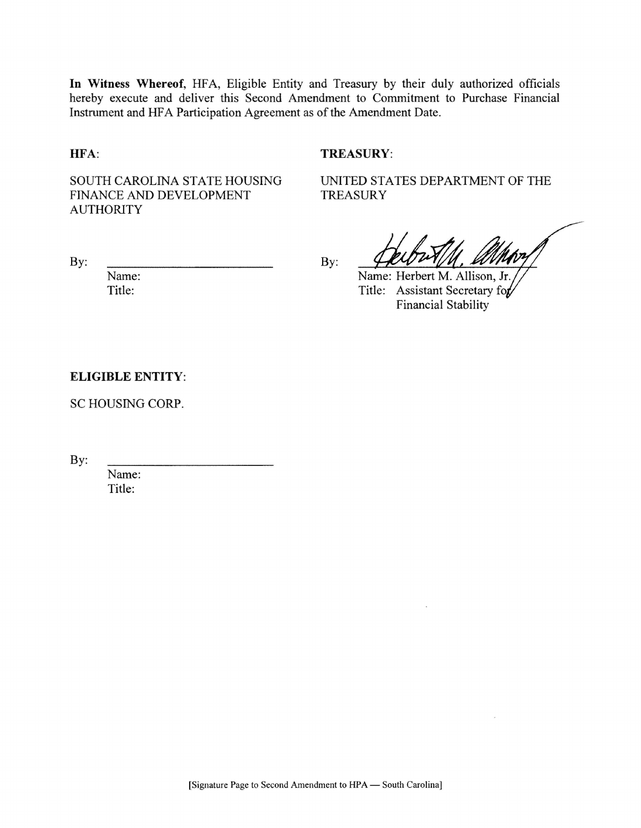In Witness Whereof, HFA, Eligible Entity and Treasury by their duly authorized officials hereby execute and deliver this Second Amendment to Commitment to Purchase Financial Instrument and HFA Participation Agreement as of the Amendment Date.

#### HFA:

#### **TREASURY:**

SOUTH CAROLINA STATE HOUSING FINANCE AND DEVELOPMENT **AUTHORITY** 

UNITED STATES DEPARTMENT OF THE **TREASURY** 

By:

Name:

Title:

 $By:$ 

amhor

 $\mathcal{L}_{\mathcal{A}}$ 

Name: Herbert M. Allison, Jr. Title: Assistant Secretary for **Financial Stability** 

#### **ELIGIBLE ENTITY:**

SC HOUSING CORP.

By:

Name: Title: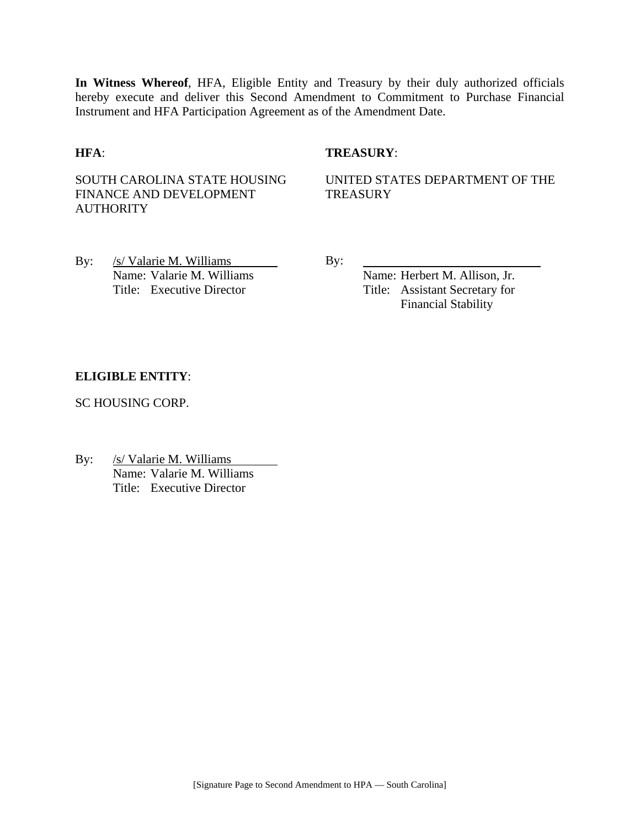**In Witness Whereof**, HFA, Eligible Entity and Treasury by their duly authorized officials hereby execute and deliver this Second Amendment to Commitment to Purchase Financial Instrument and HFA Participation Agreement as of the Amendment Date.

#### **HFA**: **TREASURY**:

SOUTH CAROLINA STATE HOUSING FINANCE AND DEVELOPMENT **AUTHORITY** 

UNITED STATES DEPARTMENT OF THE **TREASURY** 

By: /s/ Valarie M. Williams By:

Name: Valarie M. Williams Name: Herbert M. Allison, Jr. Title: Executive Director Title: Assistant Secretary for Financial Stability

#### **ELIGIBLE ENTITY**:

SC HOUSING CORP.

By: /s/ Valarie M. Williams Name: Valarie M. Williams Title: Executive Director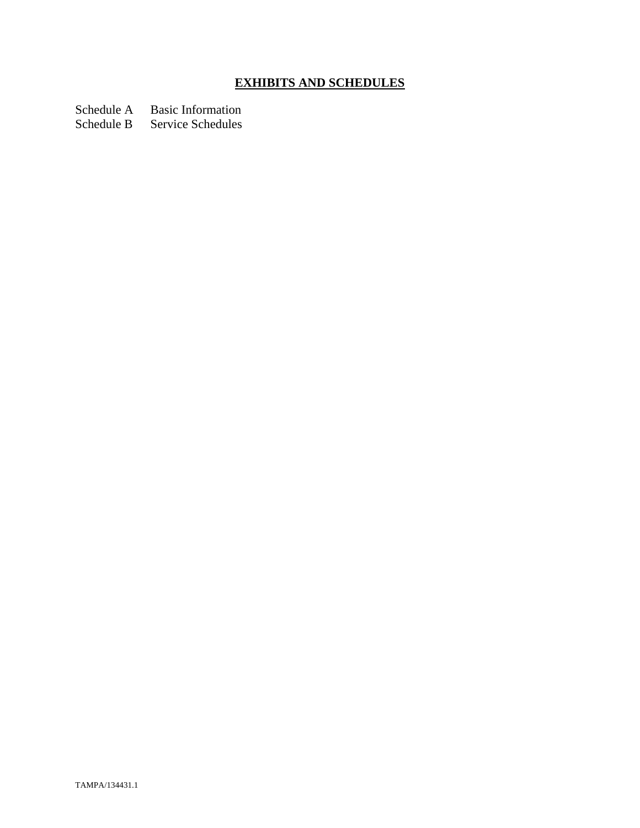# **EXHIBITS AND SCHEDULES**

Schedule A Basic Information

Schedule B Service Schedules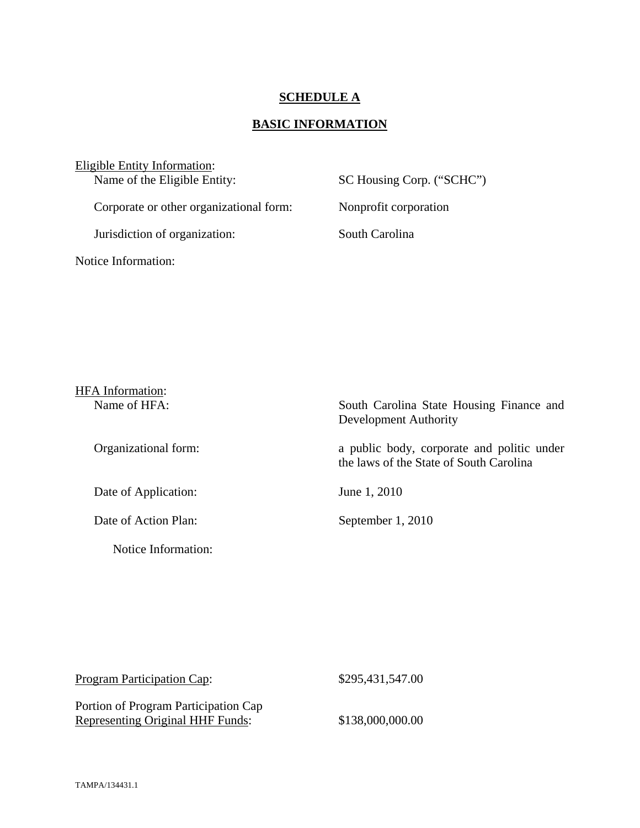#### **SCHEDULE A**

## **BASIC INFORMATION**

Eligible Entity Information:<br>Name of the Eligible Entity:

Corporate or other organizational form: Nonprofit corporation

Jurisdiction of organization: South Carolina

Notice Information:

SC Housing Corp. ("SCHC")

| <b>HFA</b> Information: |                                                                                       |
|-------------------------|---------------------------------------------------------------------------------------|
| Name of HFA:            | South Carolina State Housing Finance and<br>Development Authority                     |
| Organizational form:    | a public body, corporate and politic under<br>the laws of the State of South Carolina |
| Date of Application:    | June 1, 2010                                                                          |
| Date of Action Plan:    | September 1, 2010                                                                     |
| Notice Information:     |                                                                                       |

| <b>Program Participation Cap:</b>    | \$295,431,547.00 |
|--------------------------------------|------------------|
| Portion of Program Participation Cap |                  |
| Representing Original HHF Funds:     | \$138,000,000.00 |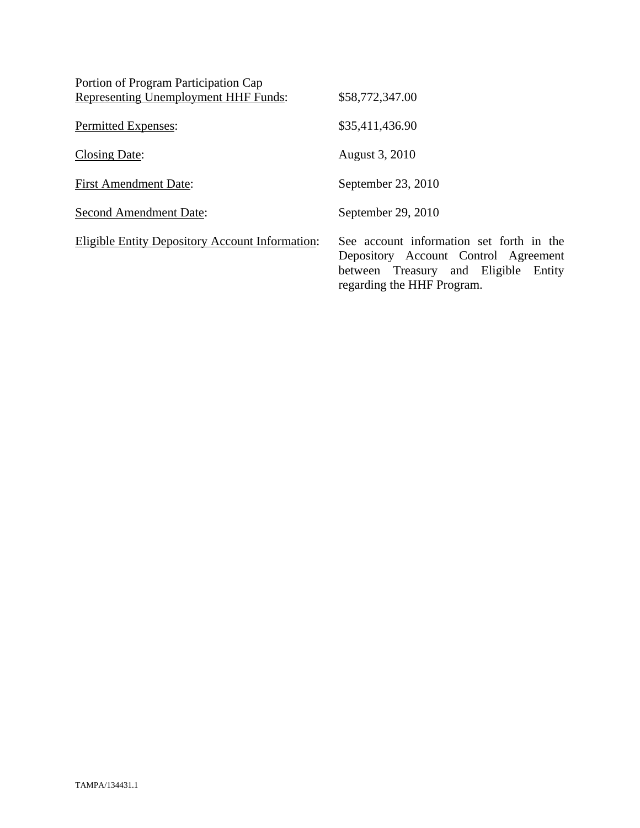| Portion of Program Participation Cap            |                                                                                                                                                        |
|-------------------------------------------------|--------------------------------------------------------------------------------------------------------------------------------------------------------|
| Representing Unemployment HHF Funds:            | \$58,772,347.00                                                                                                                                        |
| Permitted Expenses:                             | \$35,411,436.90                                                                                                                                        |
| Closing Date:                                   | August 3, 2010                                                                                                                                         |
| <b>First Amendment Date:</b>                    | September 23, 2010                                                                                                                                     |
| <b>Second Amendment Date:</b>                   | September 29, 2010                                                                                                                                     |
| Eligible Entity Depository Account Information: | See account information set forth in the<br>Depository Account Control Agreement<br>between Treasury and Eligible Entity<br>regarding the HHF Program. |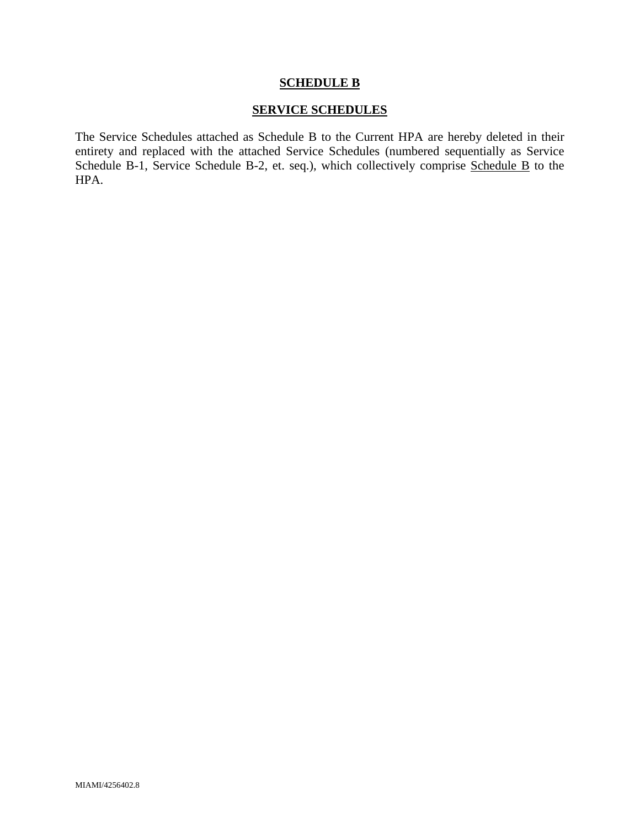#### **SCHEDULE B**

#### **SERVICE SCHEDULES**

The Service Schedules attached as Schedule B to the Current HPA are hereby deleted in their entirety and replaced with the attached Service Schedules (numbered sequentially as Service Schedule B-1, Service Schedule B-2, et. seq.), which collectively comprise Schedule B to the HPA.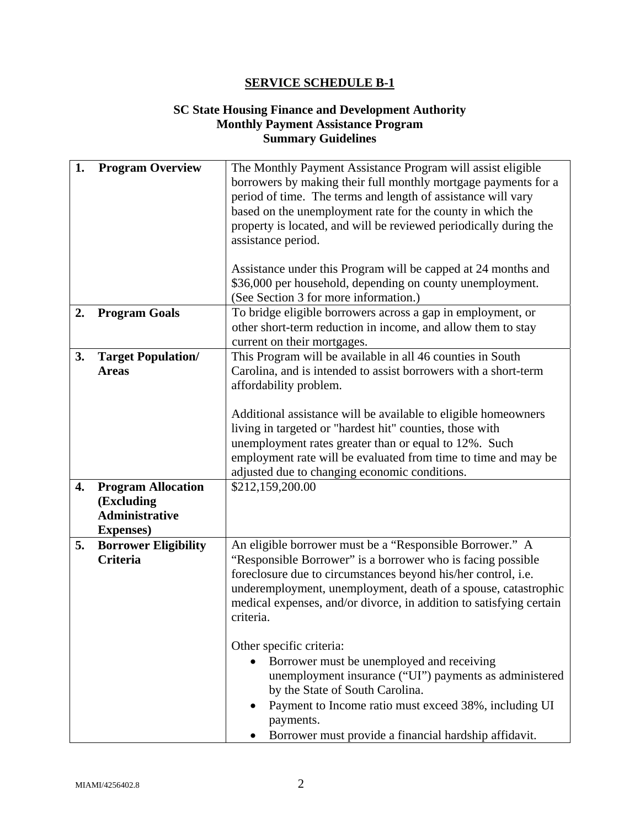## **SC State Housing Finance and Development Authority Monthly Payment Assistance Program Summary Guidelines**

| 1. | <b>Program Overview</b>                        | The Monthly Payment Assistance Program will assist eligible<br>borrowers by making their full monthly mortgage payments for a<br>period of time. The terms and length of assistance will vary<br>based on the unemployment rate for the county in which the<br>property is located, and will be reviewed periodically during the<br>assistance period.<br>Assistance under this Program will be capped at 24 months and<br>\$36,000 per household, depending on county unemployment.<br>(See Section 3 for more information.) |  |
|----|------------------------------------------------|-------------------------------------------------------------------------------------------------------------------------------------------------------------------------------------------------------------------------------------------------------------------------------------------------------------------------------------------------------------------------------------------------------------------------------------------------------------------------------------------------------------------------------|--|
| 2. | <b>Program Goals</b>                           | To bridge eligible borrowers across a gap in employment, or<br>other short-term reduction in income, and allow them to stay                                                                                                                                                                                                                                                                                                                                                                                                   |  |
|    |                                                | current on their mortgages.                                                                                                                                                                                                                                                                                                                                                                                                                                                                                                   |  |
| 3. | <b>Target Population/</b><br><b>Areas</b>      | This Program will be available in all 46 counties in South<br>Carolina, and is intended to assist borrowers with a short-term<br>affordability problem.<br>Additional assistance will be available to eligible homeowners<br>living in targeted or "hardest hit" counties, those with<br>unemployment rates greater than or equal to 12%. Such<br>employment rate will be evaluated from time to time and may be<br>adjusted due to changing economic conditions.                                                             |  |
| 4. | <b>Program Allocation</b><br>(Excluding        | \$212,159,200.00                                                                                                                                                                                                                                                                                                                                                                                                                                                                                                              |  |
|    | <b>Administrative</b>                          |                                                                                                                                                                                                                                                                                                                                                                                                                                                                                                                               |  |
|    |                                                |                                                                                                                                                                                                                                                                                                                                                                                                                                                                                                                               |  |
|    | <b>Expenses</b> )                              |                                                                                                                                                                                                                                                                                                                                                                                                                                                                                                                               |  |
| 5. | <b>Borrower Eligibility</b><br><b>Criteria</b> | An eligible borrower must be a "Responsible Borrower." A<br>"Responsible Borrower" is a borrower who is facing possible<br>foreclosure due to circumstances beyond his/her control, i.e.<br>underemployment, unemployment, death of a spouse, catastrophic<br>medical expenses, and/or divorce, in addition to satisfying certain<br>criteria.                                                                                                                                                                                |  |
|    |                                                | Other specific criteria:<br>Borrower must be unemployed and receiving<br>unemployment insurance ("UI") payments as administered<br>by the State of South Carolina.<br>Payment to Income ratio must exceed 38%, including UI<br>payments.<br>Borrower must provide a financial hardship affidavit.                                                                                                                                                                                                                             |  |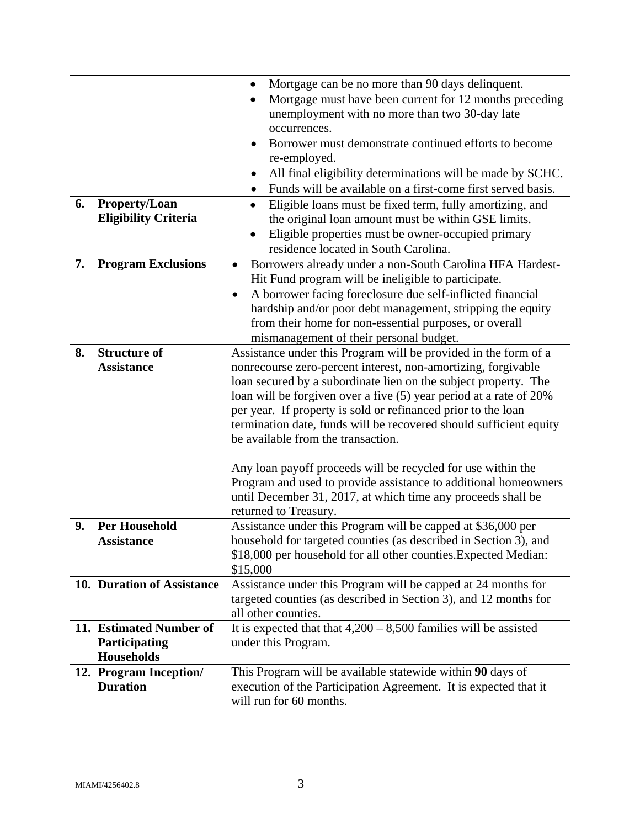|    |                                           | Mortgage can be no more than 90 days delinquent.<br>$\bullet$           |  |  |
|----|-------------------------------------------|-------------------------------------------------------------------------|--|--|
|    |                                           | Mortgage must have been current for 12 months preceding                 |  |  |
|    |                                           | unemployment with no more than two 30-day late                          |  |  |
|    |                                           | occurrences.                                                            |  |  |
|    |                                           | Borrower must demonstrate continued efforts to become                   |  |  |
|    |                                           |                                                                         |  |  |
|    |                                           | re-employed.                                                            |  |  |
|    |                                           | All final eligibility determinations will be made by SCHC.<br>$\bullet$ |  |  |
|    |                                           | Funds will be available on a first-come first served basis.             |  |  |
| 6. | <b>Property/Loan</b>                      | Eligible loans must be fixed term, fully amortizing, and<br>$\bullet$   |  |  |
|    | <b>Eligibility Criteria</b>               | the original loan amount must be within GSE limits.                     |  |  |
|    |                                           | Eligible properties must be owner-occupied primary                      |  |  |
|    |                                           | residence located in South Carolina.                                    |  |  |
| 7. | <b>Program Exclusions</b>                 | Borrowers already under a non-South Carolina HFA Hardest-<br>$\bullet$  |  |  |
|    |                                           | Hit Fund program will be ineligible to participate.                     |  |  |
|    |                                           |                                                                         |  |  |
|    |                                           | A borrower facing foreclosure due self-inflicted financial<br>$\bullet$ |  |  |
|    |                                           | hardship and/or poor debt management, stripping the equity              |  |  |
|    |                                           | from their home for non-essential purposes, or overall                  |  |  |
|    |                                           | mismanagement of their personal budget.                                 |  |  |
| 8. | <b>Structure of</b>                       | Assistance under this Program will be provided in the form of a         |  |  |
|    | <b>Assistance</b>                         | nonrecourse zero-percent interest, non-amortizing, forgivable           |  |  |
|    |                                           | loan secured by a subordinate lien on the subject property. The         |  |  |
|    |                                           | loan will be forgiven over a five (5) year period at a rate of 20%      |  |  |
|    |                                           | per year. If property is sold or refinanced prior to the loan           |  |  |
|    |                                           | termination date, funds will be recovered should sufficient equity      |  |  |
|    |                                           | be available from the transaction.                                      |  |  |
|    |                                           |                                                                         |  |  |
|    |                                           | Any loan payoff proceeds will be recycled for use within the            |  |  |
|    |                                           | Program and used to provide assistance to additional homeowners         |  |  |
|    |                                           | until December 31, 2017, at which time any proceeds shall be            |  |  |
|    |                                           | returned to Treasury.                                                   |  |  |
| 9. | <b>Per Household</b>                      | Assistance under this Program will be capped at \$36,000 per            |  |  |
|    | Assistance                                | household for targeted counties (as described in Section 3), and        |  |  |
|    |                                           | \$18,000 per household for all other counties. Expected Median:         |  |  |
|    |                                           | \$15,000                                                                |  |  |
|    | 10. Duration of Assistance                | Assistance under this Program will be capped at 24 months for           |  |  |
|    |                                           | targeted counties (as described in Section 3), and 12 months for        |  |  |
|    |                                           | all other counties.                                                     |  |  |
|    | 11. Estimated Number of                   | It is expected that that $4,200 - 8,500$ families will be assisted      |  |  |
|    | Participating                             | under this Program.                                                     |  |  |
|    | Households                                |                                                                         |  |  |
|    |                                           | This Program will be available statewide within 90 days of              |  |  |
|    | 12. Program Inception/<br><b>Duration</b> |                                                                         |  |  |
|    |                                           | execution of the Participation Agreement. It is expected that it        |  |  |
|    |                                           | will run for 60 months.                                                 |  |  |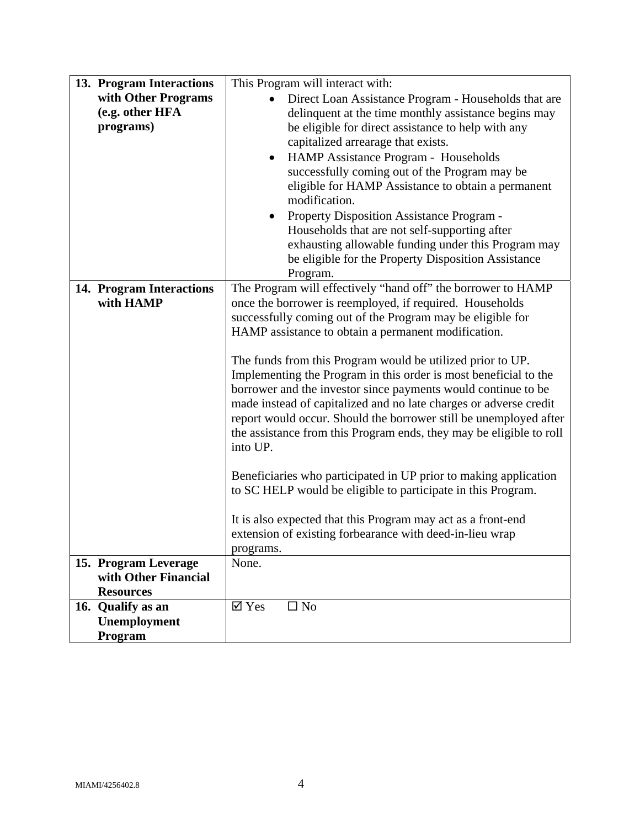| 13. Program Interactions               | This Program will interact with:                                                                             |  |
|----------------------------------------|--------------------------------------------------------------------------------------------------------------|--|
| with Other Programs<br>(e.g. other HFA | Direct Loan Assistance Program - Households that are<br>delinquent at the time monthly assistance begins may |  |
| programs)                              | be eligible for direct assistance to help with any                                                           |  |
|                                        | capitalized arrearage that exists.                                                                           |  |
|                                        | HAMP Assistance Program - Households<br>$\bullet$                                                            |  |
|                                        | successfully coming out of the Program may be                                                                |  |
|                                        | eligible for HAMP Assistance to obtain a permanent                                                           |  |
|                                        | modification.                                                                                                |  |
|                                        | Property Disposition Assistance Program -                                                                    |  |
|                                        | Households that are not self-supporting after                                                                |  |
|                                        | exhausting allowable funding under this Program may                                                          |  |
|                                        | be eligible for the Property Disposition Assistance                                                          |  |
| 14. Program Interactions               | Program.<br>The Program will effectively "hand off" the borrower to HAMP                                     |  |
| with HAMP                              | once the borrower is reemployed, if required. Households                                                     |  |
|                                        | successfully coming out of the Program may be eligible for                                                   |  |
|                                        | HAMP assistance to obtain a permanent modification.                                                          |  |
|                                        |                                                                                                              |  |
|                                        | The funds from this Program would be utilized prior to UP.                                                   |  |
|                                        | Implementing the Program in this order is most beneficial to the                                             |  |
|                                        | borrower and the investor since payments would continue to be                                                |  |
|                                        | made instead of capitalized and no late charges or adverse credit                                            |  |
|                                        | report would occur. Should the borrower still be unemployed after                                            |  |
|                                        | the assistance from this Program ends, they may be eligible to roll                                          |  |
|                                        | into UP.                                                                                                     |  |
|                                        | Beneficiaries who participated in UP prior to making application                                             |  |
|                                        | to SC HELP would be eligible to participate in this Program.                                                 |  |
|                                        |                                                                                                              |  |
|                                        | It is also expected that this Program may act as a front-end                                                 |  |
|                                        | extension of existing forbearance with deed-in-lieu wrap                                                     |  |
|                                        | programs.                                                                                                    |  |
| 15. Program Leverage                   | None.                                                                                                        |  |
| with Other Financial                   |                                                                                                              |  |
| <b>Resources</b>                       | $\overline{\mathsf{Y}}$ Yes<br>$\square$ No                                                                  |  |
| 16. Qualify as an<br>Unemployment      |                                                                                                              |  |
| Program                                |                                                                                                              |  |
|                                        |                                                                                                              |  |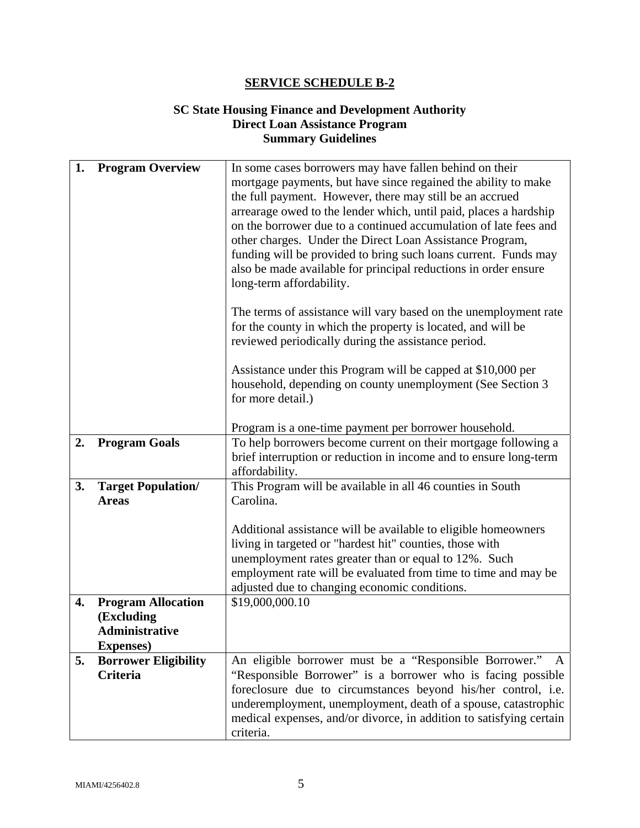### **SC State Housing Finance and Development Authority Direct Loan Assistance Program Summary Guidelines**

| 1. | <b>Program Overview</b>     | In some cases borrowers may have fallen behind on their             |  |
|----|-----------------------------|---------------------------------------------------------------------|--|
|    |                             |                                                                     |  |
|    |                             | mortgage payments, but have since regained the ability to make      |  |
|    |                             | the full payment. However, there may still be an accrued            |  |
|    |                             | arrearage owed to the lender which, until paid, places a hardship   |  |
|    |                             | on the borrower due to a continued accumulation of late fees and    |  |
|    |                             | other charges. Under the Direct Loan Assistance Program,            |  |
|    |                             | funding will be provided to bring such loans current. Funds may     |  |
|    |                             | also be made available for principal reductions in order ensure     |  |
|    |                             | long-term affordability.                                            |  |
|    |                             |                                                                     |  |
|    |                             | The terms of assistance will vary based on the unemployment rate    |  |
|    |                             | for the county in which the property is located, and will be        |  |
|    |                             | reviewed periodically during the assistance period.                 |  |
|    |                             |                                                                     |  |
|    |                             | Assistance under this Program will be capped at \$10,000 per        |  |
|    |                             | household, depending on county unemployment (See Section 3          |  |
|    |                             | for more detail.)                                                   |  |
|    |                             |                                                                     |  |
|    |                             | Program is a one-time payment per borrower household.               |  |
| 2. | <b>Program Goals</b>        | To help borrowers become current on their mortgage following a      |  |
|    |                             | brief interruption or reduction in income and to ensure long-term   |  |
|    |                             | affordability.                                                      |  |
| 3. | <b>Target Population/</b>   | This Program will be available in all 46 counties in South          |  |
|    | <b>Areas</b>                | Carolina.                                                           |  |
|    |                             |                                                                     |  |
|    |                             | Additional assistance will be available to eligible homeowners      |  |
|    |                             | living in targeted or "hardest hit" counties, those with            |  |
|    |                             | unemployment rates greater than or equal to 12%. Such               |  |
|    |                             | employment rate will be evaluated from time to time and may be      |  |
|    |                             | adjusted due to changing economic conditions.                       |  |
| 4. | <b>Program Allocation</b>   | \$19,000,000.10                                                     |  |
|    | (Excluding                  |                                                                     |  |
|    | <b>Administrative</b>       |                                                                     |  |
|    | <b>Expenses</b> )           |                                                                     |  |
| 5. | <b>Borrower Eligibility</b> | An eligible borrower must be a "Responsible Borrower."<br>A         |  |
|    | Criteria                    | "Responsible Borrower" is a borrower who is facing possible         |  |
|    |                             | foreclosure due to circumstances beyond his/her control, i.e.       |  |
|    |                             | underemployment, unemployment, death of a spouse, catastrophic      |  |
|    |                             | medical expenses, and/or divorce, in addition to satisfying certain |  |
|    |                             | criteria.                                                           |  |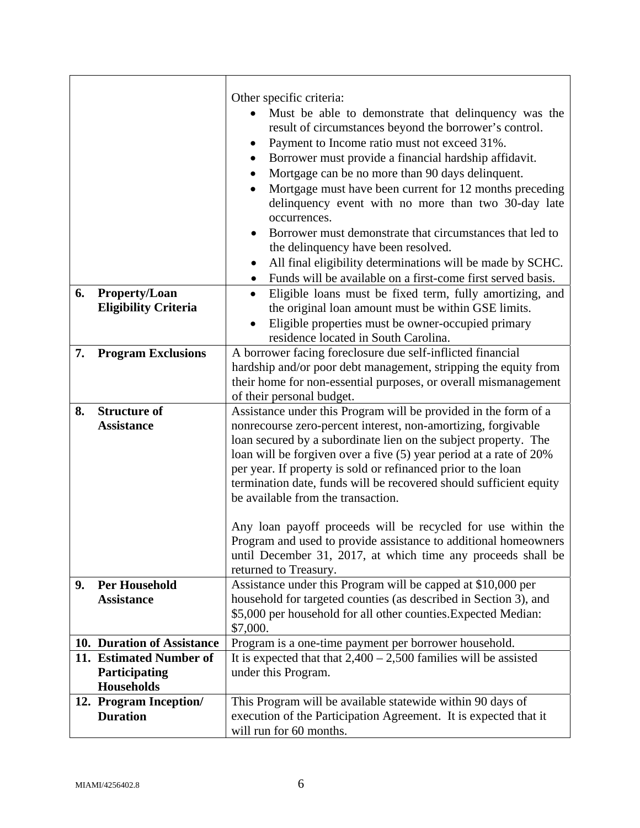|    |                                                               | Other specific criteria:<br>Must be able to demonstrate that delinquency was the<br>result of circumstances beyond the borrower's control.<br>Payment to Income ratio must not exceed 31%.<br>Borrower must provide a financial hardship affidavit.<br>٠<br>Mortgage can be no more than 90 days delinquent.<br>Mortgage must have been current for 12 months preceding<br>delinquency event with no more than two 30-day late<br>occurrences.<br>Borrower must demonstrate that circumstances that led to<br>the delinquency have been resolved.<br>All final eligibility determinations will be made by SCHC.<br>$\bullet$<br>Funds will be available on a first-come first served basis.<br>$\bullet$ |  |
|----|---------------------------------------------------------------|----------------------------------------------------------------------------------------------------------------------------------------------------------------------------------------------------------------------------------------------------------------------------------------------------------------------------------------------------------------------------------------------------------------------------------------------------------------------------------------------------------------------------------------------------------------------------------------------------------------------------------------------------------------------------------------------------------|--|
| 6. | <b>Property/Loan</b><br><b>Eligibility Criteria</b>           | Eligible loans must be fixed term, fully amortizing, and<br>$\bullet$                                                                                                                                                                                                                                                                                                                                                                                                                                                                                                                                                                                                                                    |  |
|    |                                                               | the original loan amount must be within GSE limits.<br>Eligible properties must be owner-occupied primary                                                                                                                                                                                                                                                                                                                                                                                                                                                                                                                                                                                                |  |
|    |                                                               | residence located in South Carolina.                                                                                                                                                                                                                                                                                                                                                                                                                                                                                                                                                                                                                                                                     |  |
| 7. | <b>Program Exclusions</b>                                     | A borrower facing foreclosure due self-inflicted financial<br>hardship and/or poor debt management, stripping the equity from<br>their home for non-essential purposes, or overall mismanagement<br>of their personal budget.                                                                                                                                                                                                                                                                                                                                                                                                                                                                            |  |
| 8. | <b>Structure of</b><br><b>Assistance</b>                      | Assistance under this Program will be provided in the form of a<br>nonrecourse zero-percent interest, non-amortizing, forgivable<br>loan secured by a subordinate lien on the subject property. The<br>loan will be forgiven over a five (5) year period at a rate of 20%<br>per year. If property is sold or refinanced prior to the loan<br>termination date, funds will be recovered should sufficient equity<br>be available from the transaction.<br>Any loan payoff proceeds will be recycled for use within the<br>Program and used to provide assistance to additional homeowners<br>until December 31, 2017, at which time any proceeds shall be                                                |  |
|    |                                                               | returned to Treasury.                                                                                                                                                                                                                                                                                                                                                                                                                                                                                                                                                                                                                                                                                    |  |
| 9. | <b>Per Household</b><br><b>Assistance</b>                     | Assistance under this Program will be capped at \$10,000 per<br>household for targeted counties (as described in Section 3), and<br>\$5,000 per household for all other counties. Expected Median:<br>\$7,000.                                                                                                                                                                                                                                                                                                                                                                                                                                                                                           |  |
|    | 10. Duration of Assistance                                    | Program is a one-time payment per borrower household.                                                                                                                                                                                                                                                                                                                                                                                                                                                                                                                                                                                                                                                    |  |
|    | 11. Estimated Number of<br>Participating<br><b>Households</b> | It is expected that that $2,400 - 2,500$ families will be assisted<br>under this Program.                                                                                                                                                                                                                                                                                                                                                                                                                                                                                                                                                                                                                |  |
|    | 12. Program Inception/<br><b>Duration</b>                     | This Program will be available statewide within 90 days of<br>execution of the Participation Agreement. It is expected that it<br>will run for 60 months.                                                                                                                                                                                                                                                                                                                                                                                                                                                                                                                                                |  |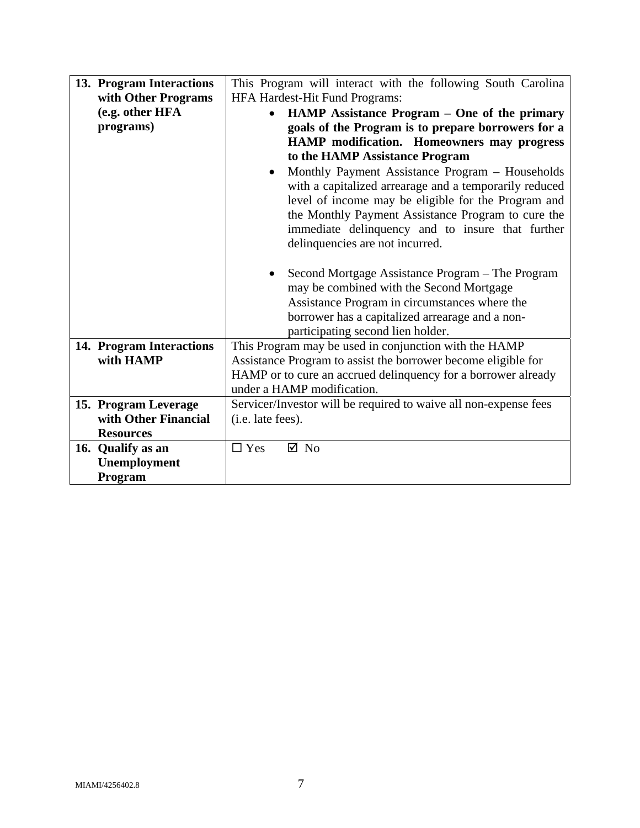| 13. Program Interactions | This Program will interact with the following South Carolina     |  |  |
|--------------------------|------------------------------------------------------------------|--|--|
| with Other Programs      | HFA Hardest-Hit Fund Programs:                                   |  |  |
| (e.g. other HFA          | HAMP Assistance Program - One of the primary<br>$\bullet$        |  |  |
| programs)                | goals of the Program is to prepare borrowers for a               |  |  |
|                          | HAMP modification. Homeowners may progress                       |  |  |
|                          | to the HAMP Assistance Program                                   |  |  |
|                          | Monthly Payment Assistance Program - Households<br>$\bullet$     |  |  |
|                          |                                                                  |  |  |
|                          | with a capitalized arrearage and a temporarily reduced           |  |  |
|                          | level of income may be eligible for the Program and              |  |  |
|                          | the Monthly Payment Assistance Program to cure the               |  |  |
|                          | immediate delinquency and to insure that further                 |  |  |
|                          | delinquencies are not incurred.                                  |  |  |
|                          |                                                                  |  |  |
|                          | Second Mortgage Assistance Program – The Program                 |  |  |
|                          | may be combined with the Second Mortgage                         |  |  |
|                          | Assistance Program in circumstances where the                    |  |  |
|                          | borrower has a capitalized arrearage and a non-                  |  |  |
|                          | participating second lien holder.                                |  |  |
| 14. Program Interactions | This Program may be used in conjunction with the HAMP            |  |  |
| with HAMP                | Assistance Program to assist the borrower become eligible for    |  |  |
|                          | HAMP or to cure an accrued delinquency for a borrower already    |  |  |
|                          | under a HAMP modification.                                       |  |  |
| 15. Program Leverage     | Servicer/Investor will be required to waive all non-expense fees |  |  |
| with Other Financial     | (i.e. late fees).                                                |  |  |
| <b>Resources</b>         |                                                                  |  |  |
| 16. Qualify as an        | $\nabla$ No<br>$\Box$ Yes                                        |  |  |
| Unemployment             |                                                                  |  |  |
| Program                  |                                                                  |  |  |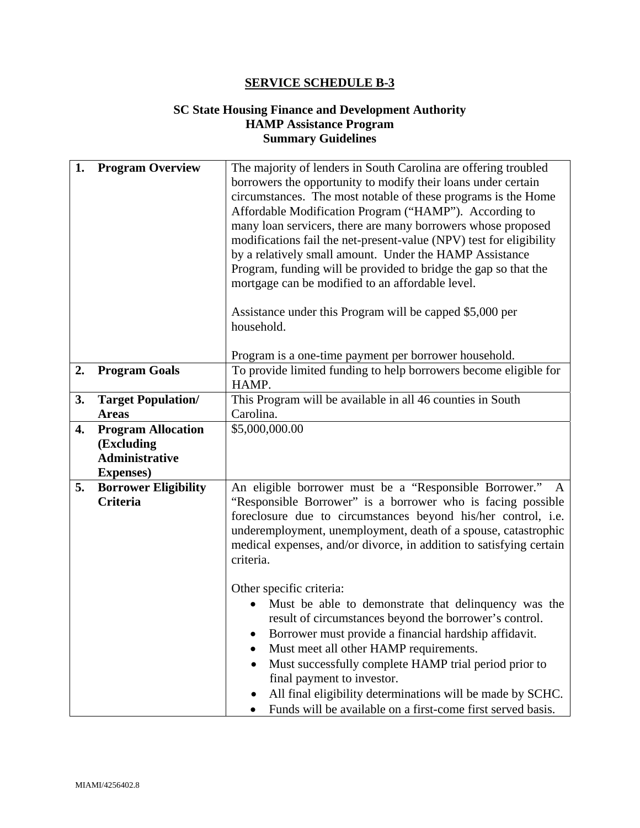## **SC State Housing Finance and Development Authority HAMP Assistance Program Summary Guidelines**

| 1. | <b>Program Overview</b>                        | The majority of lenders in South Carolina are offering troubled<br>borrowers the opportunity to modify their loans under certain<br>circumstances. The most notable of these programs is the Home<br>Affordable Modification Program ("HAMP"). According to<br>many loan servicers, there are many borrowers whose proposed<br>modifications fail the net-present-value (NPV) test for eligibility<br>by a relatively small amount. Under the HAMP Assistance<br>Program, funding will be provided to bridge the gap so that the<br>mortgage can be modified to an affordable level.<br>Assistance under this Program will be capped \$5,000 per<br>household.<br>Program is a one-time payment per borrower household. |  |
|----|------------------------------------------------|-------------------------------------------------------------------------------------------------------------------------------------------------------------------------------------------------------------------------------------------------------------------------------------------------------------------------------------------------------------------------------------------------------------------------------------------------------------------------------------------------------------------------------------------------------------------------------------------------------------------------------------------------------------------------------------------------------------------------|--|
| 2. | <b>Program Goals</b>                           | To provide limited funding to help borrowers become eligible for<br>HAMP.                                                                                                                                                                                                                                                                                                                                                                                                                                                                                                                                                                                                                                               |  |
| 3. | <b>Target Population/</b>                      | This Program will be available in all 46 counties in South                                                                                                                                                                                                                                                                                                                                                                                                                                                                                                                                                                                                                                                              |  |
|    | <b>Areas</b>                                   | Carolina.                                                                                                                                                                                                                                                                                                                                                                                                                                                                                                                                                                                                                                                                                                               |  |
| 4. | <b>Program Allocation</b><br>(Excluding        | \$5,000,000.00                                                                                                                                                                                                                                                                                                                                                                                                                                                                                                                                                                                                                                                                                                          |  |
|    | <b>Administrative</b>                          |                                                                                                                                                                                                                                                                                                                                                                                                                                                                                                                                                                                                                                                                                                                         |  |
|    | <b>Expenses</b> )                              |                                                                                                                                                                                                                                                                                                                                                                                                                                                                                                                                                                                                                                                                                                                         |  |
| 5. | <b>Borrower Eligibility</b><br><b>Criteria</b> | An eligible borrower must be a "Responsible Borrower."<br>"Responsible Borrower" is a borrower who is facing possible<br>foreclosure due to circumstances beyond his/her control, i.e.<br>underemployment, unemployment, death of a spouse, catastrophic<br>medical expenses, and/or divorce, in addition to satisfying certain<br>criteria.                                                                                                                                                                                                                                                                                                                                                                            |  |
|    |                                                | Other specific criteria:<br>Must be able to demonstrate that delinquency was the<br>result of circumstances beyond the borrower's control.<br>Borrower must provide a financial hardship affidavit.<br>Must meet all other HAMP requirements.<br>Must successfully complete HAMP trial period prior to<br>final payment to investor.<br>All final eligibility determinations will be made by SCHC.<br>Funds will be available on a first-come first served basis.                                                                                                                                                                                                                                                       |  |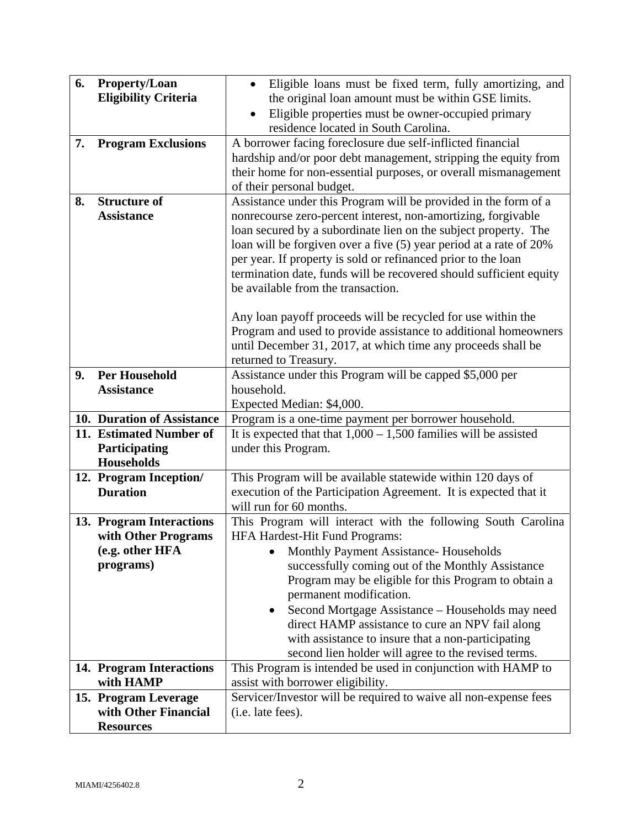| 6. | <b>Property/Loan</b><br><b>Eligibility Criteria</b> | Eligible loans must be fixed term, fully amortizing, and<br>$\bullet$<br>the original loan amount must be within GSE limits.<br>Eligible properties must be owner-occupied primary<br>$\bullet$<br>residence located in South Carolina.                                                                                                                                                                                                                                                                                                                                                                                                                   |  |  |
|----|-----------------------------------------------------|-----------------------------------------------------------------------------------------------------------------------------------------------------------------------------------------------------------------------------------------------------------------------------------------------------------------------------------------------------------------------------------------------------------------------------------------------------------------------------------------------------------------------------------------------------------------------------------------------------------------------------------------------------------|--|--|
| 7. | <b>Program Exclusions</b>                           | A borrower facing foreclosure due self-inflicted financial<br>hardship and/or poor debt management, stripping the equity from<br>their home for non-essential purposes, or overall mismanagement<br>of their personal budget.                                                                                                                                                                                                                                                                                                                                                                                                                             |  |  |
| 8. | <b>Structure of</b><br><b>Assistance</b>            | Assistance under this Program will be provided in the form of a<br>nonrecourse zero-percent interest, non-amortizing, forgivable<br>loan secured by a subordinate lien on the subject property. The<br>loan will be forgiven over a five (5) year period at a rate of 20%<br>per year. If property is sold or refinanced prior to the loan<br>termination date, funds will be recovered should sufficient equity<br>be available from the transaction.<br>Any loan payoff proceeds will be recycled for use within the<br>Program and used to provide assistance to additional homeowners<br>until December 31, 2017, at which time any proceeds shall be |  |  |
| 9. | <b>Per Household</b>                                | returned to Treasury.<br>Assistance under this Program will be capped \$5,000 per                                                                                                                                                                                                                                                                                                                                                                                                                                                                                                                                                                         |  |  |
|    | <b>Assistance</b>                                   | household.                                                                                                                                                                                                                                                                                                                                                                                                                                                                                                                                                                                                                                                |  |  |
|    |                                                     | Expected Median: \$4,000.                                                                                                                                                                                                                                                                                                                                                                                                                                                                                                                                                                                                                                 |  |  |
|    | 10. Duration of Assistance                          | Program is a one-time payment per borrower household.                                                                                                                                                                                                                                                                                                                                                                                                                                                                                                                                                                                                     |  |  |
|    | 11. Estimated Number of                             | It is expected that that $1,000 - 1,500$ families will be assisted                                                                                                                                                                                                                                                                                                                                                                                                                                                                                                                                                                                        |  |  |
|    | Participating                                       | under this Program.                                                                                                                                                                                                                                                                                                                                                                                                                                                                                                                                                                                                                                       |  |  |
|    | <b>Households</b>                                   |                                                                                                                                                                                                                                                                                                                                                                                                                                                                                                                                                                                                                                                           |  |  |
|    | 12. Program Inception/                              | This Program will be available statewide within 120 days of                                                                                                                                                                                                                                                                                                                                                                                                                                                                                                                                                                                               |  |  |
|    | <b>Duration</b>                                     | execution of the Participation Agreement. It is expected that it                                                                                                                                                                                                                                                                                                                                                                                                                                                                                                                                                                                          |  |  |
|    |                                                     | will run for 60 months.                                                                                                                                                                                                                                                                                                                                                                                                                                                                                                                                                                                                                                   |  |  |
|    | 13. Program Interactions                            | This Program will interact with the following South Carolina                                                                                                                                                                                                                                                                                                                                                                                                                                                                                                                                                                                              |  |  |
|    | with Other Programs<br>(e.g. other HFA              | <b>HFA Hardest-Hit Fund Programs:</b><br><b>Monthly Payment Assistance- Households</b>                                                                                                                                                                                                                                                                                                                                                                                                                                                                                                                                                                    |  |  |
|    | programs)                                           | successfully coming out of the Monthly Assistance                                                                                                                                                                                                                                                                                                                                                                                                                                                                                                                                                                                                         |  |  |
|    |                                                     | Program may be eligible for this Program to obtain a                                                                                                                                                                                                                                                                                                                                                                                                                                                                                                                                                                                                      |  |  |
|    |                                                     | permanent modification.                                                                                                                                                                                                                                                                                                                                                                                                                                                                                                                                                                                                                                   |  |  |
|    |                                                     | Second Mortgage Assistance - Households may need                                                                                                                                                                                                                                                                                                                                                                                                                                                                                                                                                                                                          |  |  |
|    |                                                     | direct HAMP assistance to cure an NPV fail along                                                                                                                                                                                                                                                                                                                                                                                                                                                                                                                                                                                                          |  |  |
|    |                                                     | with assistance to insure that a non-participating                                                                                                                                                                                                                                                                                                                                                                                                                                                                                                                                                                                                        |  |  |
|    |                                                     | second lien holder will agree to the revised terms.                                                                                                                                                                                                                                                                                                                                                                                                                                                                                                                                                                                                       |  |  |
|    | 14. Program Interactions                            | This Program is intended be used in conjunction with HAMP to                                                                                                                                                                                                                                                                                                                                                                                                                                                                                                                                                                                              |  |  |
|    | with HAMP                                           | assist with borrower eligibility.                                                                                                                                                                                                                                                                                                                                                                                                                                                                                                                                                                                                                         |  |  |
|    | 15. Program Leverage                                | Servicer/Investor will be required to waive all non-expense fees                                                                                                                                                                                                                                                                                                                                                                                                                                                                                                                                                                                          |  |  |
|    | with Other Financial                                | (i.e. late fees).                                                                                                                                                                                                                                                                                                                                                                                                                                                                                                                                                                                                                                         |  |  |
|    | <b>Resources</b>                                    |                                                                                                                                                                                                                                                                                                                                                                                                                                                                                                                                                                                                                                                           |  |  |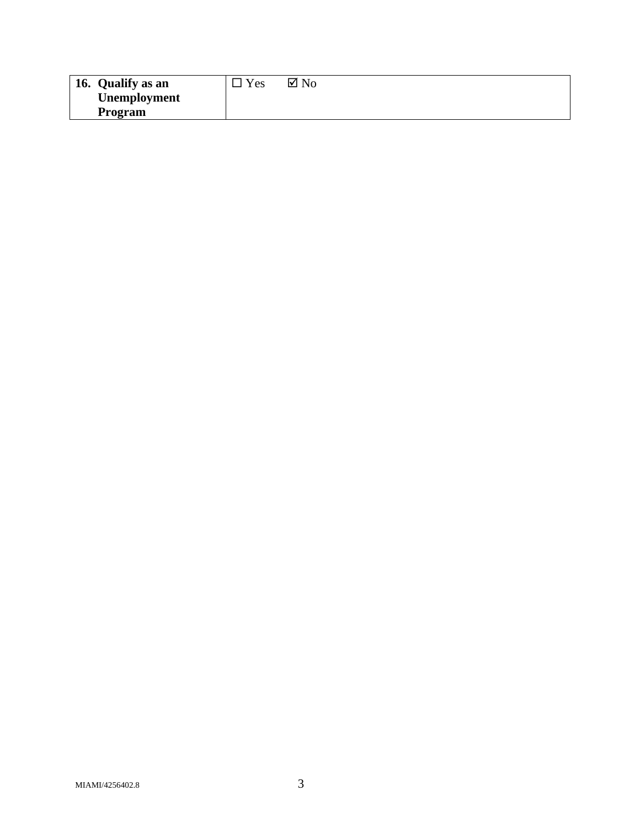| 16. Qualify as an   | $v_{es}$ | $\boxtimes$ No |
|---------------------|----------|----------------|
| <b>Unemployment</b> |          |                |
| Program             |          |                |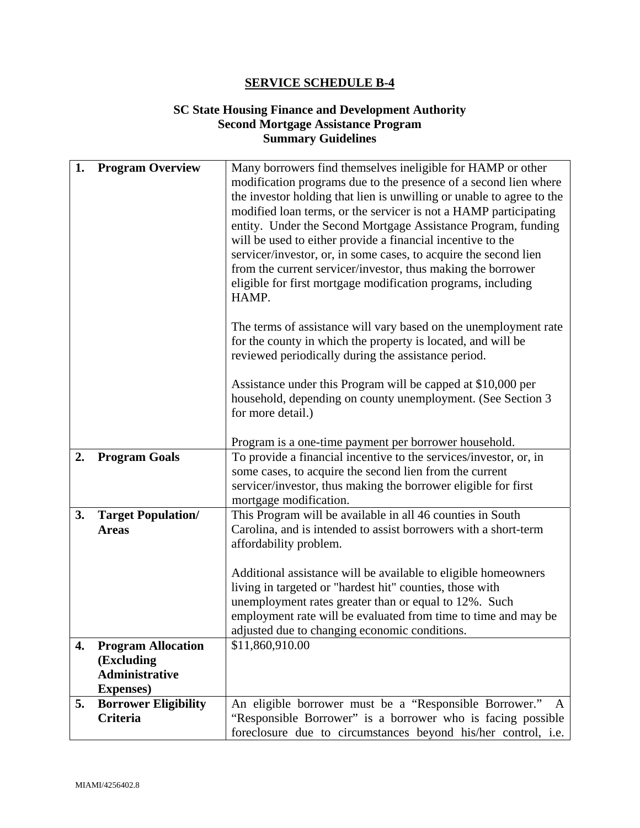## **SC State Housing Finance and Development Authority Second Mortgage Assistance Program Summary Guidelines**

| 1. | <b>Program Overview</b>                          | Many borrowers find themselves ineligible for HAMP or other                                                                               |  |
|----|--------------------------------------------------|-------------------------------------------------------------------------------------------------------------------------------------------|--|
|    |                                                  | modification programs due to the presence of a second lien where<br>the investor holding that lien is unwilling or unable to agree to the |  |
|    |                                                  | modified loan terms, or the servicer is not a HAMP participating                                                                          |  |
|    |                                                  | entity. Under the Second Mortgage Assistance Program, funding                                                                             |  |
|    |                                                  | will be used to either provide a financial incentive to the<br>servicer/investor, or, in some cases, to acquire the second lien           |  |
|    |                                                  | from the current servicer/investor, thus making the borrower                                                                              |  |
|    |                                                  | eligible for first mortgage modification programs, including                                                                              |  |
|    |                                                  | HAMP.                                                                                                                                     |  |
|    |                                                  | The terms of assistance will vary based on the unemployment rate                                                                          |  |
|    |                                                  | for the county in which the property is located, and will be                                                                              |  |
|    |                                                  | reviewed periodically during the assistance period.                                                                                       |  |
|    |                                                  | Assistance under this Program will be capped at \$10,000 per                                                                              |  |
|    |                                                  | household, depending on county unemployment. (See Section 3                                                                               |  |
|    |                                                  | for more detail.)                                                                                                                         |  |
|    |                                                  | Program is a one-time payment per borrower household.                                                                                     |  |
| 2. | <b>Program Goals</b>                             | To provide a financial incentive to the services/investor, or, in                                                                         |  |
|    |                                                  | some cases, to acquire the second lien from the current                                                                                   |  |
|    |                                                  | servicer/investor, thus making the borrower eligible for first<br>mortgage modification.                                                  |  |
| 3. | <b>Target Population/</b>                        | This Program will be available in all 46 counties in South                                                                                |  |
|    | <b>Areas</b>                                     | Carolina, and is intended to assist borrowers with a short-term                                                                           |  |
|    |                                                  | affordability problem.                                                                                                                    |  |
|    |                                                  | Additional assistance will be available to eligible homeowners                                                                            |  |
|    |                                                  | living in targeted or "hardest hit" counties, those with                                                                                  |  |
|    |                                                  | unemployment rates greater than or equal to 12%. Such                                                                                     |  |
|    |                                                  | employment rate will be evaluated from time to time and may be<br>adjusted due to changing economic conditions.                           |  |
| 4. | <b>Program Allocation</b>                        | \$11,860,910.00                                                                                                                           |  |
|    | (Excluding                                       |                                                                                                                                           |  |
|    | <b>Administrative</b>                            |                                                                                                                                           |  |
| 5. | <b>Expenses</b> )<br><b>Borrower Eligibility</b> | An eligible borrower must be a "Responsible Borrower."<br>A                                                                               |  |
|    | <b>Criteria</b>                                  | "Responsible Borrower" is a borrower who is facing possible                                                                               |  |
|    |                                                  | foreclosure due to circumstances beyond his/her control, i.e.                                                                             |  |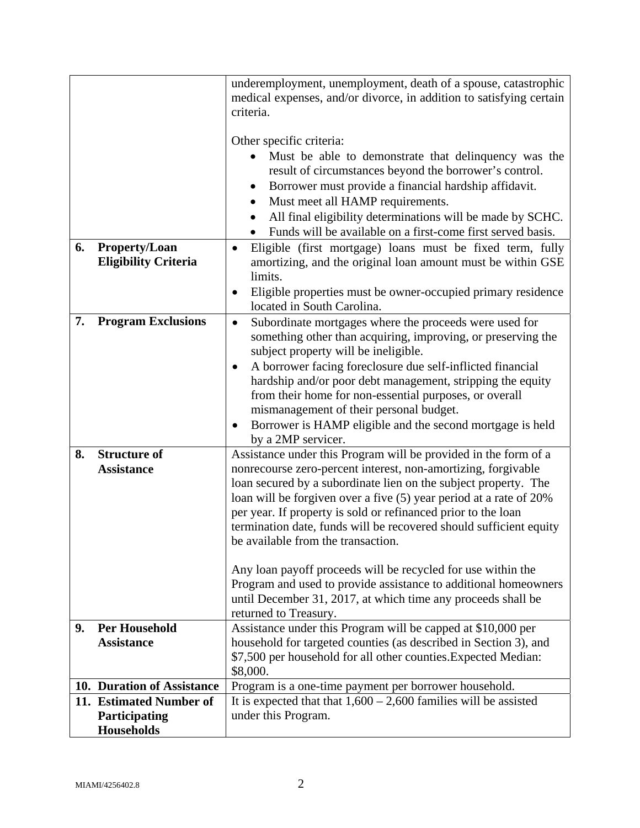|    |                                                               | underemployment, unemployment, death of a spouse, catastrophic<br>medical expenses, and/or divorce, in addition to satisfying certain                                                                                                                                                                                                                                                                                                                                                                                                      |  |  |
|----|---------------------------------------------------------------|--------------------------------------------------------------------------------------------------------------------------------------------------------------------------------------------------------------------------------------------------------------------------------------------------------------------------------------------------------------------------------------------------------------------------------------------------------------------------------------------------------------------------------------------|--|--|
|    |                                                               | criteria.                                                                                                                                                                                                                                                                                                                                                                                                                                                                                                                                  |  |  |
| 6. | <b>Property/Loan</b><br><b>Eligibility Criteria</b>           | Other specific criteria:<br>Must be able to demonstrate that delinquency was the<br>result of circumstances beyond the borrower's control.<br>Borrower must provide a financial hardship affidavit.<br>$\bullet$<br>Must meet all HAMP requirements.<br>٠<br>All final eligibility determinations will be made by SCHC.<br>Funds will be available on a first-come first served basis.<br>Eligible (first mortgage) loans must be fixed term, fully<br>$\bullet$<br>amortizing, and the original loan amount must be within GSE<br>limits. |  |  |
|    |                                                               | Eligible properties must be owner-occupied primary residence<br>located in South Carolina.                                                                                                                                                                                                                                                                                                                                                                                                                                                 |  |  |
| 7. | <b>Program Exclusions</b>                                     | Subordinate mortgages where the proceeds were used for<br>$\bullet$<br>something other than acquiring, improving, or preserving the<br>subject property will be ineligible.                                                                                                                                                                                                                                                                                                                                                                |  |  |
|    |                                                               | A borrower facing foreclosure due self-inflicted financial<br>٠<br>hardship and/or poor debt management, stripping the equity<br>from their home for non-essential purposes, or overall<br>mismanagement of their personal budget.<br>Borrower is HAMP eligible and the second mortgage is held<br>by a 2MP servicer.                                                                                                                                                                                                                      |  |  |
| 8. | <b>Structure of</b><br><b>Assistance</b>                      | Assistance under this Program will be provided in the form of a<br>nonrecourse zero-percent interest, non-amortizing, forgivable<br>loan secured by a subordinate lien on the subject property. The<br>loan will be forgiven over a five (5) year period at a rate of 20%<br>per year. If property is sold or refinanced prior to the loan<br>termination date, funds will be recovered should sufficient equity<br>be available from the transaction.                                                                                     |  |  |
|    |                                                               | Any loan payoff proceeds will be recycled for use within the<br>Program and used to provide assistance to additional homeowners<br>until December 31, 2017, at which time any proceeds shall be<br>returned to Treasury.                                                                                                                                                                                                                                                                                                                   |  |  |
| 9. | <b>Per Household</b>                                          | Assistance under this Program will be capped at \$10,000 per                                                                                                                                                                                                                                                                                                                                                                                                                                                                               |  |  |
|    | <b>Assistance</b>                                             | household for targeted counties (as described in Section 3), and<br>\$7,500 per household for all other counties. Expected Median:<br>\$8,000.                                                                                                                                                                                                                                                                                                                                                                                             |  |  |
|    | 10. Duration of Assistance                                    | Program is a one-time payment per borrower household.                                                                                                                                                                                                                                                                                                                                                                                                                                                                                      |  |  |
|    | 11. Estimated Number of<br>Participating<br><b>Households</b> | It is expected that that $1,600 - 2,600$ families will be assisted<br>under this Program.                                                                                                                                                                                                                                                                                                                                                                                                                                                  |  |  |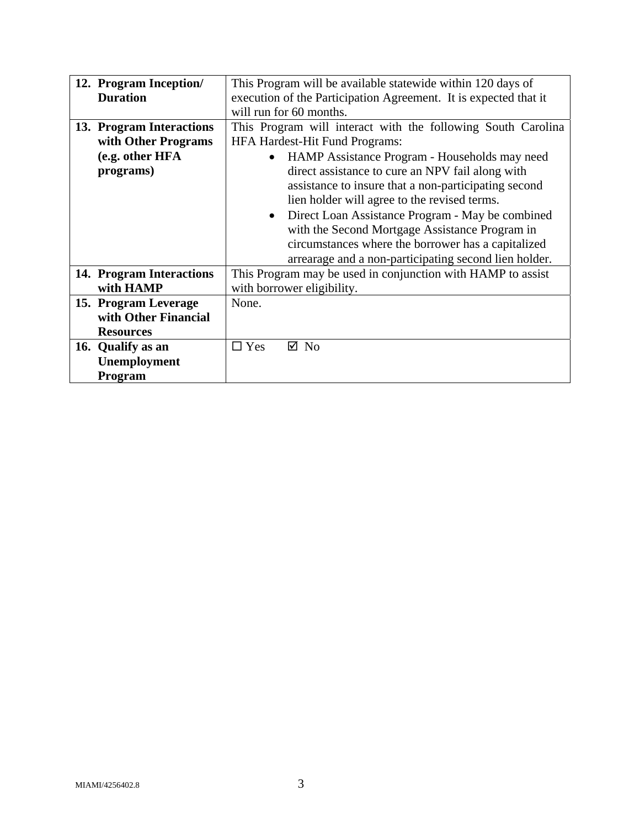| 12. Program Inception/   | This Program will be available statewide within 120 days of      |  |  |  |  |
|--------------------------|------------------------------------------------------------------|--|--|--|--|
| <b>Duration</b>          | execution of the Participation Agreement. It is expected that it |  |  |  |  |
|                          | will run for 60 months.                                          |  |  |  |  |
|                          |                                                                  |  |  |  |  |
| 13. Program Interactions | This Program will interact with the following South Carolina     |  |  |  |  |
| with Other Programs      | <b>HFA Hardest-Hit Fund Programs:</b>                            |  |  |  |  |
| (e.g. other HFA          | HAMP Assistance Program - Households may need                    |  |  |  |  |
| programs)                | direct assistance to cure an NPV fail along with                 |  |  |  |  |
|                          | assistance to insure that a non-participating second             |  |  |  |  |
|                          | lien holder will agree to the revised terms.                     |  |  |  |  |
|                          | Direct Loan Assistance Program - May be combined<br>$\bullet$    |  |  |  |  |
|                          | with the Second Mortgage Assistance Program in                   |  |  |  |  |
|                          | circumstances where the borrower has a capitalized               |  |  |  |  |
|                          | arrearage and a non-participating second lien holder.            |  |  |  |  |
| 14. Program Interactions | This Program may be used in conjunction with HAMP to assist      |  |  |  |  |
| with HAMP                | with borrower eligibility.                                       |  |  |  |  |
| 15. Program Leverage     | None.                                                            |  |  |  |  |
| with Other Financial     |                                                                  |  |  |  |  |
| <b>Resources</b>         |                                                                  |  |  |  |  |
| 16. Qualify as an        | $\Box$ Yes<br>$\boxtimes$ No                                     |  |  |  |  |
| Unemployment             |                                                                  |  |  |  |  |
| <b>Program</b>           |                                                                  |  |  |  |  |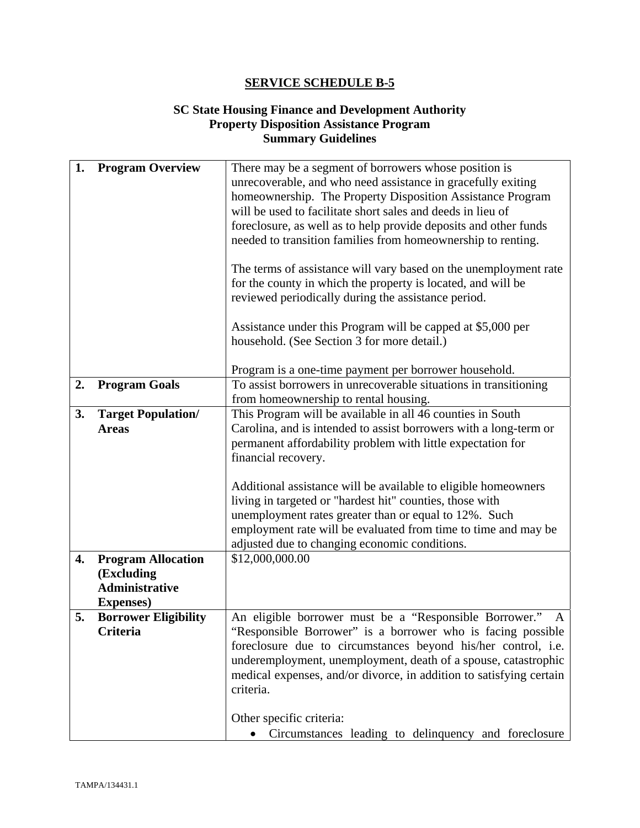### **SC State Housing Finance and Development Authority Property Disposition Assistance Program Summary Guidelines**

| 1.              | <b>Program Overview</b>             | There may be a segment of borrowers whose position is<br>unrecoverable, and who need assistance in gracefully exiting<br>homeownership. The Property Disposition Assistance Program<br>will be used to facilitate short sales and deeds in lieu of |  |  |  |
|-----------------|-------------------------------------|----------------------------------------------------------------------------------------------------------------------------------------------------------------------------------------------------------------------------------------------------|--|--|--|
|                 |                                     | foreclosure, as well as to help provide deposits and other funds<br>needed to transition families from homeownership to renting.                                                                                                                   |  |  |  |
|                 |                                     | The terms of assistance will vary based on the unemployment rate<br>for the county in which the property is located, and will be<br>reviewed periodically during the assistance period.                                                            |  |  |  |
|                 |                                     | Assistance under this Program will be capped at \$5,000 per<br>household. (See Section 3 for more detail.)                                                                                                                                         |  |  |  |
|                 |                                     | Program is a one-time payment per borrower household.                                                                                                                                                                                              |  |  |  |
| 2.              | <b>Program Goals</b>                | To assist borrowers in unrecoverable situations in transitioning                                                                                                                                                                                   |  |  |  |
|                 |                                     | from homeownership to rental housing.                                                                                                                                                                                                              |  |  |  |
| 3.              | <b>Target Population/</b>           | This Program will be available in all 46 counties in South                                                                                                                                                                                         |  |  |  |
|                 | <b>Areas</b>                        | Carolina, and is intended to assist borrowers with a long-term or                                                                                                                                                                                  |  |  |  |
|                 |                                     | permanent affordability problem with little expectation for<br>financial recovery.                                                                                                                                                                 |  |  |  |
|                 |                                     |                                                                                                                                                                                                                                                    |  |  |  |
|                 |                                     | Additional assistance will be available to eligible homeowners                                                                                                                                                                                     |  |  |  |
|                 |                                     | living in targeted or "hardest hit" counties, those with                                                                                                                                                                                           |  |  |  |
|                 |                                     | unemployment rates greater than or equal to 12%. Such                                                                                                                                                                                              |  |  |  |
|                 |                                     | employment rate will be evaluated from time to time and may be                                                                                                                                                                                     |  |  |  |
|                 |                                     | adjusted due to changing economic conditions.                                                                                                                                                                                                      |  |  |  |
| 4.              | <b>Program Allocation</b>           | \$12,000,000.00                                                                                                                                                                                                                                    |  |  |  |
|                 | (Excluding<br><b>Administrative</b> |                                                                                                                                                                                                                                                    |  |  |  |
|                 | <b>Expenses</b> )                   |                                                                                                                                                                                                                                                    |  |  |  |
| 5.              | <b>Borrower Eligibility</b>         | An eligible borrower must be a "Responsible Borrower."<br>A                                                                                                                                                                                        |  |  |  |
| <b>Criteria</b> |                                     | "Responsible Borrower" is a borrower who is facing possible                                                                                                                                                                                        |  |  |  |
|                 |                                     | foreclosure due to circumstances beyond his/her control, i.e.                                                                                                                                                                                      |  |  |  |
|                 |                                     | underemployment, unemployment, death of a spouse, catastrophic                                                                                                                                                                                     |  |  |  |
|                 |                                     | medical expenses, and/or divorce, in addition to satisfying certain<br>criteria.                                                                                                                                                                   |  |  |  |
|                 |                                     | Other specific criteria:                                                                                                                                                                                                                           |  |  |  |
|                 |                                     | Circumstances leading to delinquency and foreclosure                                                                                                                                                                                               |  |  |  |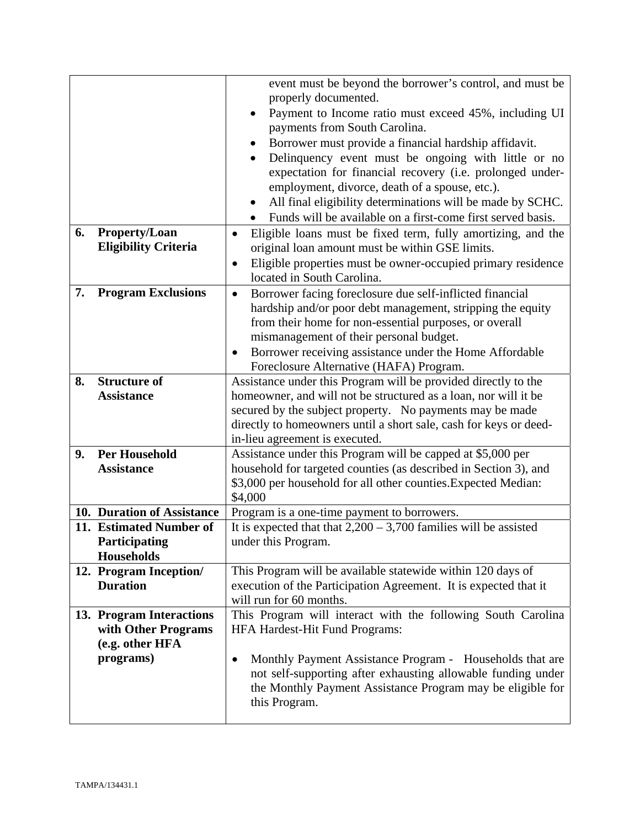|    |                             | event must be beyond the borrower's control, and must be<br>properly documented.<br>Payment to Income ratio must exceed 45%, including UI<br>٠<br>payments from South Carolina.<br>Borrower must provide a financial hardship affidavit.<br>٠<br>Delinquency event must be ongoing with little or no<br>expectation for financial recovery (i.e. prolonged under-<br>employment, divorce, death of a spouse, etc.). |  |  |  |  |
|----|-----------------------------|---------------------------------------------------------------------------------------------------------------------------------------------------------------------------------------------------------------------------------------------------------------------------------------------------------------------------------------------------------------------------------------------------------------------|--|--|--|--|
|    |                             | All final eligibility determinations will be made by SCHC.<br>$\bullet$                                                                                                                                                                                                                                                                                                                                             |  |  |  |  |
| 6. | <b>Property/Loan</b>        | Funds will be available on a first-come first served basis.                                                                                                                                                                                                                                                                                                                                                         |  |  |  |  |
|    | <b>Eligibility Criteria</b> | Eligible loans must be fixed term, fully amortizing, and the<br>$\bullet$<br>original loan amount must be within GSE limits.                                                                                                                                                                                                                                                                                        |  |  |  |  |
|    |                             | Eligible properties must be owner-occupied primary residence<br>$\bullet$                                                                                                                                                                                                                                                                                                                                           |  |  |  |  |
|    |                             | located in South Carolina.                                                                                                                                                                                                                                                                                                                                                                                          |  |  |  |  |
| 7. | <b>Program Exclusions</b>   | Borrower facing foreclosure due self-inflicted financial<br>$\bullet$                                                                                                                                                                                                                                                                                                                                               |  |  |  |  |
|    |                             | hardship and/or poor debt management, stripping the equity                                                                                                                                                                                                                                                                                                                                                          |  |  |  |  |
|    |                             | from their home for non-essential purposes, or overall                                                                                                                                                                                                                                                                                                                                                              |  |  |  |  |
|    |                             | mismanagement of their personal budget.                                                                                                                                                                                                                                                                                                                                                                             |  |  |  |  |
|    |                             | Borrower receiving assistance under the Home Affordable<br>٠                                                                                                                                                                                                                                                                                                                                                        |  |  |  |  |
|    |                             | Foreclosure Alternative (HAFA) Program.                                                                                                                                                                                                                                                                                                                                                                             |  |  |  |  |
| 8. | <b>Structure of</b>         | Assistance under this Program will be provided directly to the                                                                                                                                                                                                                                                                                                                                                      |  |  |  |  |
|    | <b>Assistance</b>           | homeowner, and will not be structured as a loan, nor will it be                                                                                                                                                                                                                                                                                                                                                     |  |  |  |  |
|    |                             | secured by the subject property. No payments may be made                                                                                                                                                                                                                                                                                                                                                            |  |  |  |  |
|    |                             | directly to homeowners until a short sale, cash for keys or deed-<br>in-lieu agreement is executed.                                                                                                                                                                                                                                                                                                                 |  |  |  |  |
| 9. | <b>Per Household</b>        | Assistance under this Program will be capped at \$5,000 per                                                                                                                                                                                                                                                                                                                                                         |  |  |  |  |
|    | <b>Assistance</b>           | household for targeted counties (as described in Section 3), and                                                                                                                                                                                                                                                                                                                                                    |  |  |  |  |
|    |                             | \$3,000 per household for all other counties. Expected Median:                                                                                                                                                                                                                                                                                                                                                      |  |  |  |  |
|    |                             | \$4,000                                                                                                                                                                                                                                                                                                                                                                                                             |  |  |  |  |
|    | 10. Duration of Assistance  | Program is a one-time payment to borrowers.                                                                                                                                                                                                                                                                                                                                                                         |  |  |  |  |
|    | 11. Estimated Number of     | It is expected that that $2,200 - 3,700$ families will be assisted                                                                                                                                                                                                                                                                                                                                                  |  |  |  |  |
|    | <b>Participating</b>        | under this Program.                                                                                                                                                                                                                                                                                                                                                                                                 |  |  |  |  |
|    | <b>Households</b>           |                                                                                                                                                                                                                                                                                                                                                                                                                     |  |  |  |  |
|    | 12. Program Inception/      | This Program will be available statewide within 120 days of                                                                                                                                                                                                                                                                                                                                                         |  |  |  |  |
|    | <b>Duration</b>             | execution of the Participation Agreement. It is expected that it                                                                                                                                                                                                                                                                                                                                                    |  |  |  |  |
|    |                             | will run for 60 months.                                                                                                                                                                                                                                                                                                                                                                                             |  |  |  |  |
|    | 13. Program Interactions    | This Program will interact with the following South Carolina                                                                                                                                                                                                                                                                                                                                                        |  |  |  |  |
|    | with Other Programs         | HFA Hardest-Hit Fund Programs:                                                                                                                                                                                                                                                                                                                                                                                      |  |  |  |  |
|    | (e.g. other HFA             |                                                                                                                                                                                                                                                                                                                                                                                                                     |  |  |  |  |
|    | programs)                   | Monthly Payment Assistance Program - Households that are<br>$\bullet$<br>not self-supporting after exhausting allowable funding under<br>the Monthly Payment Assistance Program may be eligible for<br>this Program.                                                                                                                                                                                                |  |  |  |  |